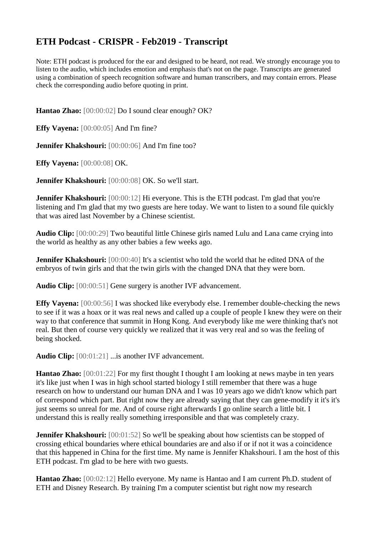## **ETH Podcast - CRISPR - Feb2019 - Transcript**

Note: ETH podcast is produced for the ear and designed to be heard, not read. We strongly encourage you to listen to the audio, which includes emotion and emphasis that's not on the page. Transcripts are generated using a combination of speech recognition software and human transcribers, and may contain errors. Please check the corresponding audio before quoting in print.

**Hantao Zhao:** [00:00:02] Do I sound clear enough? OK?

**Effy Vayena:** [00:00:05] And I'm fine?

**Jennifer Khakshouri:** [00:00:06] And I'm fine too?

**Effy Vayena:** [00:00:08] OK.

**Jennifer Khakshouri:** [00:00:08] OK. So we'll start.

**Jennifer Khakshouri:** [00:00:12] Hi everyone. This is the ETH podcast. I'm glad that you're listening and I'm glad that my two guests are here today. We want to listen to a sound file quickly that was aired last November by a Chinese scientist.

**Audio Clip:** [00:00:29] Two beautiful little Chinese girls named Lulu and Lana came crying into the world as healthy as any other babies a few weeks ago.

**Jennifer Khakshouri:** [00:00:40] It's a scientist who told the world that he edited DNA of the embryos of twin girls and that the twin girls with the changed DNA that they were born.

**Audio Clip:** [00:00:51] Gene surgery is another IVF advancement.

**Effy Vayena:** [00:00:56] I was shocked like everybody else. I remember double-checking the news to see if it was a hoax or it was real news and called up a couple of people I knew they were on their way to that conference that summit in Hong Kong. And everybody like me were thinking that's not real. But then of course very quickly we realized that it was very real and so was the feeling of being shocked.

**Audio Clip:** [00:01:21] ...is another IVF advancement.

**Hantao Zhao:** [00:01:22] For my first thought I thought I am looking at news maybe in ten years it's like just when I was in high school started biology I still remember that there was a huge research on how to understand our human DNA and I was 10 years ago we didn't know which part of correspond which part. But right now they are already saying that they can gene-modify it it's it's just seems so unreal for me. And of course right afterwards I go online search a little bit. I understand this is really really something irresponsible and that was completely crazy.

**Jennifer Khakshouri:** [00:01:52] So we'll be speaking about how scientists can be stopped of crossing ethical boundaries where ethical boundaries are and also if or if not it was a coincidence that this happened in China for the first time. My name is Jennifer Khakshouri. I am the host of this ETH podcast. I'm glad to be here with two guests.

**Hantao Zhao:** [00:02:12] Hello everyone. My name is Hantao and I am current Ph.D. student of ETH and Disney Research. By training I'm a computer scientist but right now my research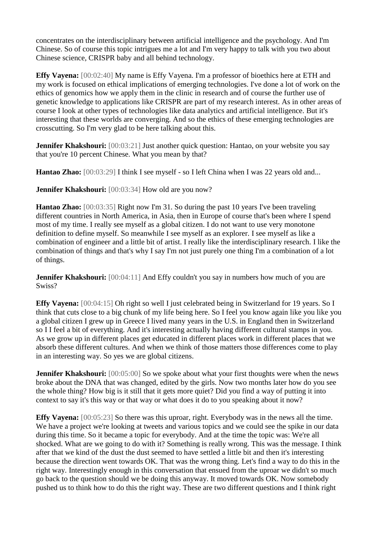concentrates on the interdisciplinary between artificial intelligence and the psychology. And I'm Chinese. So of course this topic intrigues me a lot and I'm very happy to talk with you two about Chinese science, CRISPR baby and all behind technology.

**Effy Vayena:** [00:02:40] My name is Effy Vayena. I'm a professor of bioethics here at ETH and my work is focused on ethical implications of emerging technologies. I've done a lot of work on the ethics of genomics how we apply them in the clinic in research and of course the further use of genetic knowledge to applications like CRISPR are part of my research interest. As in other areas of course I look at other types of technologies like data analytics and artificial intelligence. But it's interesting that these worlds are converging. And so the ethics of these emerging technologies are crosscutting. So I'm very glad to be here talking about this.

**Jennifer Khakshouri:** [00:03:21] Just another quick question: Hantao, on your website you say that you're 10 percent Chinese. What you mean by that?

**Hantao Zhao:** [00:03:29] I think I see myself - so I left China when I was 22 years old and...

**Jennifer Khakshouri:** [00:03:34] How old are you now?

**Hantao Zhao:** [00:03:35] Right now I'm 31. So during the past 10 years I've been traveling different countries in North America, in Asia, then in Europe of course that's been where I spend most of my time. I really see myself as a global citizen. I do not want to use very monotone definition to define myself. So meanwhile I see myself as an explorer. I see myself as like a combination of engineer and a little bit of artist. I really like the interdisciplinary research. I like the combination of things and that's why I say I'm not just purely one thing I'm a combination of a lot of things.

**Jennifer Khakshouri:** [00:04:11] And Effy couldn't you say in numbers how much of you are Swiss?

**Effy Vayena:** [00:04:15] Oh right so well I just celebrated being in Switzerland for 19 years. So I think that cuts close to a big chunk of my life being here. So I feel you know again like you like you a global citizen I grew up in Greece I lived many years in the U.S. in England then in Switzerland so I I feel a bit of everything. And it's interesting actually having different cultural stamps in you. As we grow up in different places get educated in different places work in different places that we absorb these different cultures. And when we think of those matters those differences come to play in an interesting way. So yes we are global citizens.

**Jennifer Khakshouri:** [00:05:00] So we spoke about what your first thoughts were when the news broke about the DNA that was changed, edited by the girls. Now two months later how do you see the whole thing? How big is it still that it gets more quiet? Did you find a way of putting it into context to say it's this way or that way or what does it do to you speaking about it now?

**Effy Vayena:** [00:05:23] So there was this uproar, right. Everybody was in the news all the time. We have a project we're looking at tweets and various topics and we could see the spike in our data during this time. So it became a topic for everybody. And at the time the topic was: We're all shocked. What are we going to do with it? Something is really wrong. This was the message. I think after that we kind of the dust the dust seemed to have settled a little bit and then it's interesting because the direction went towards OK. That was the wrong thing. Let's find a way to do this in the right way. Interestingly enough in this conversation that ensued from the uproar we didn't so much go back to the question should we be doing this anyway. It moved towards OK. Now somebody pushed us to think how to do this the right way. These are two different questions and I think right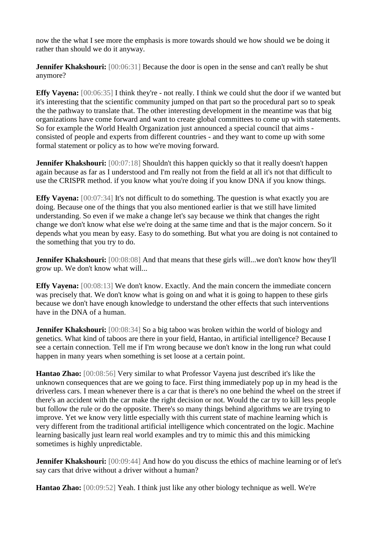now the the what I see more the emphasis is more towards should we how should we be doing it rather than should we do it anyway.

**Jennifer Khakshouri:** [00:06:31] Because the door is open in the sense and can't really be shut anymore?

**Effy Vayena:** [00:06:35] I think they're - not really. I think we could shut the door if we wanted but it's interesting that the scientific community jumped on that part so the procedural part so to speak the the pathway to translate that. The other interesting development in the meantime was that big organizations have come forward and want to create global committees to come up with statements. So for example the World Health Organization just announced a special council that aims consisted of people and experts from different countries - and they want to come up with some formal statement or policy as to how we're moving forward.

**Jennifer Khakshouri:** [00:07:18] Shouldn't this happen quickly so that it really doesn't happen again because as far as I understood and I'm really not from the field at all it's not that difficult to use the CRISPR method. if you know what you're doing if you know DNA if you know things.

**Effy Vayena:** [00:07:34] It's not difficult to do something. The question is what exactly you are doing. Because one of the things that you also mentioned earlier is that we still have limited understanding. So even if we make a change let's say because we think that changes the right change we don't know what else we're doing at the same time and that is the major concern. So it depends what you mean by easy. Easy to do something. But what you are doing is not contained to the something that you try to do.

**Jennifer Khakshouri:** [00:08:08] And that means that these girls will...we don't know how they'll grow up. We don't know what will...

**Effy Vayena:** [00:08:13] We don't know. Exactly. And the main concern the immediate concern was precisely that. We don't know what is going on and what it is going to happen to these girls because we don't have enough knowledge to understand the other effects that such interventions have in the DNA of a human.

**Jennifer Khakshouri:** [00:08:34] So a big taboo was broken within the world of biology and genetics. What kind of taboos are there in your field, Hantao, in artificial intelligence? Because I see a certain connection. Tell me if I'm wrong because we don't know in the long run what could happen in many years when something is set loose at a certain point.

**Hantao Zhao:** [00:08:56] Very similar to what Professor Vayena just described it's like the unknown consequences that are we going to face. First thing immediately pop up in my head is the driverless cars. I mean whenever there is a car that is there's no one behind the wheel on the street if there's an accident with the car make the right decision or not. Would the car try to kill less people but follow the rule or do the opposite. There's so many things behind algorithms we are trying to improve. Yet we know very little especially with this current state of machine learning which is very different from the traditional artificial intelligence which concentrated on the logic. Machine learning basically just learn real world examples and try to mimic this and this mimicking sometimes is highly unpredictable.

**Jennifer Khakshouri:** [00:09:44] And how do you discuss the ethics of machine learning or of let's say cars that drive without a driver without a human?

**Hantao Zhao:** [00:09:52] Yeah. I think just like any other biology technique as well. We're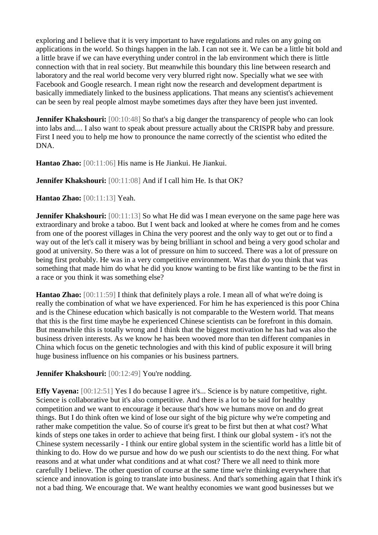exploring and I believe that it is very important to have regulations and rules on any going on applications in the world. So things happen in the lab. I can not see it. We can be a little bit bold and a little brave if we can have everything under control in the lab environment which there is little connection with that in real society. But meanwhile this boundary this line between research and laboratory and the real world become very very blurred right now. Specially what we see with Facebook and Google research. I mean right now the research and development department is basically immediately linked to the business applications. That means any scientist's achievement can be seen by real people almost maybe sometimes days after they have been just invented.

**Jennifer Khakshouri:** [00:10:48] So that's a big danger the transparency of people who can look into labs and.... I also want to speak about pressure actually about the CRISPR baby and pressure. First I need you to help me how to pronounce the name correctly of the scientist who edited the DNA.

**Hantao Zhao:** [00:11:06] His name is He Jiankui. He Jiankui.

**Jennifer Khakshouri:** [00:11:08] And if I call him He. Is that OK?

**Hantao Zhao:** [00:11:13] Yeah.

**Jennifer Khakshouri:** [00:11:13] So what He did was I mean everyone on the same page here was extraordinary and broke a taboo. But I went back and looked at where he comes from and he comes from one of the poorest villages in China the very poorest and the only way to get out or to find a way out of the let's call it misery was by being brilliant in school and being a very good scholar and good at university. So there was a lot of pressure on him to succeed. There was a lot of pressure on being first probably. He was in a very competitive environment. Was that do you think that was something that made him do what he did you know wanting to be first like wanting to be the first in a race or you think it was something else?

**Hantao Zhao:** [00:11:59] I think that definitely plays a role. I mean all of what we're doing is really the combination of what we have experienced. For him he has experienced is this poor China and is the Chinese education which basically is not comparable to the Western world. That means that this is the first time maybe he experienced Chinese scientists can be forefront in this domain. But meanwhile this is totally wrong and I think that the biggest motivation he has had was also the business driven interests. As we know he has been wooved more than ten different companies in China which focus on the genetic technologies and with this kind of public exposure it will bring huge business influence on his companies or his business partners.

**Jennifer Khakshouri:** [00:12:49] You're nodding.

**Effy Vayena:** [00:12:51] Yes I do because I agree it's... Science is by nature competitive, right. Science is collaborative but it's also competitive. And there is a lot to be said for healthy competition and we want to encourage it because that's how we humans move on and do great things. But I do think often we kind of lose our sight of the big picture why we're competing and rather make competition the value. So of course it's great to be first but then at what cost? What kinds of steps one takes in order to achieve that being first. I think our global system - it's not the Chinese system necessarily - I think our entire global system in the scientific world has a little bit of thinking to do. How do we pursue and how do we push our scientists to do the next thing. For what reasons and at what under what conditions and at what cost? There we all need to think more carefully I believe. The other question of course at the same time we're thinking everywhere that science and innovation is going to translate into business. And that's something again that I think it's not a bad thing. We encourage that. We want healthy economies we want good businesses but we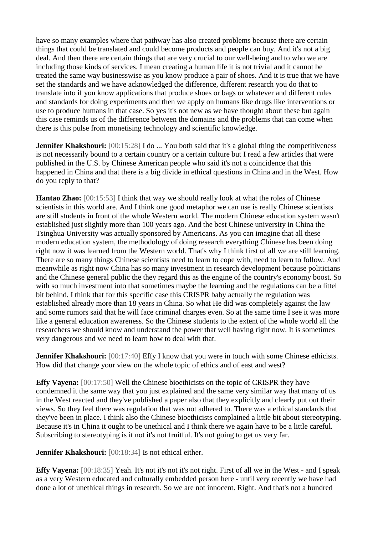have so many examples where that pathway has also created problems because there are certain things that could be translated and could become products and people can buy. And it's not a big deal. And then there are certain things that are very crucial to our well-being and to who we are including those kinds of services. I mean creating a human life it is not trivial and it cannot be treated the same way businesswise as you know produce a pair of shoes. And it is true that we have set the standards and we have acknowledged the difference, different research you do that to translate into if you know applications that produce shoes or bags or whatever and different rules and standards for doing experiments and then we apply on humans like drugs like interventions or use to produce humans in that case. So yes it's not new as we have thought about these but again this case reminds us of the difference between the domains and the problems that can come when there is this pulse from monetising technology and scientific knowledge.

**Jennifer Khakshouri:** [00:15:28] I do ... You both said that it's a global thing the competitiveness is not necessarily bound to a certain country or a certain culture but I read a few articles that were published in the U.S. by Chinese American people who said it's not a coincidence that this happened in China and that there is a big divide in ethical questions in China and in the West. How do you reply to that?

**Hantao Zhao:** [00:15:53] I think that way we should really look at what the roles of Chinese scientists in this world are. And I think one good metaphor we can use is really Chinese scientists are still students in front of the whole Western world. The modern Chinese education system wasn't established just slightly more than 100 years ago. And the best Chinese university in China the Tsinghua University was actually sponsored by Americans. As you can imagine that all these modern education system, the methodology of doing research everything Chinese has been doing right now it was learned from the Western world. That's why I think first of all we are still learning. There are so many things Chinese scientists need to learn to cope with, need to learn to follow. And meanwhile as right now China has so many investment in research development because politicians and the Chinese general public the they regard this as the engine of the country's economy boost. So with so much investment into that sometimes maybe the learning and the regulations can be a littel bit behind. I think that for this specific case this CRISPR baby actually the regulation was established already more than 18 years in China. So what He did was completely against the law and some rumors said that he will face criminal charges even. So at the same time I see it was more like a general education awareness. So the Chinese students to the extent of the whole world all the researchers we should know and understand the power that well having right now. It is sometimes very dangerous and we need to learn how to deal with that.

**Jennifer Khakshouri:** [00:17:40] Effy I know that you were in touch with some Chinese ethicists. How did that change your view on the whole topic of ethics and of east and west?

**Effy Vayena:** [00:17:50] Well the Chinese bioethicists on the topic of CRISPR they have condemned it the same way that you just explained and the same very similar way that many of us in the West reacted and they've published a paper also that they explicitly and clearly put out their views. So they feel there was regulation that was not adhered to. There was a ethical standards that they've been in place. I think also the Chinese bioethicists complained a little bit about stereotyping. Because it's in China it ought to be unethical and I think there we again have to be a little careful. Subscribing to stereotyping is it not it's not fruitful. It's not going to get us very far.

**Jennifer Khakshouri:** [00:18:34] Is not ethical either.

**Effy Vayena:** [00:18:35] Yeah. It's not it's not it's not right. First of all we in the West - and I speak as a very Western educated and culturally embedded person here - until very recently we have had done a lot of unethical things in research. So we are not innocent. Right. And that's not a hundred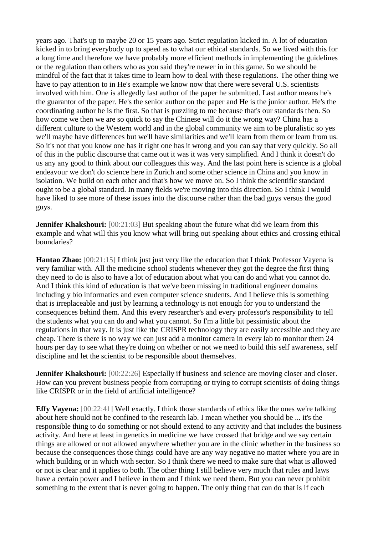years ago. That's up to maybe 20 or 15 years ago. Strict regulation kicked in. A lot of education kicked in to bring everybody up to speed as to what our ethical standards. So we lived with this for a long time and therefore we have probably more efficient methods in implementing the guidelines or the regulation than others who as you said they're newer in in this game. So we should be mindful of the fact that it takes time to learn how to deal with these regulations. The other thing we have to pay attention to in He's example we know now that there were several U.S. scientists involved with him. One is allegedly last author of the paper he submitted. Last author means he's the guarantor of the paper. He's the senior author on the paper and He is the junior author. He's the coordinating author he is the first. So that is puzzling to me because that's our standards then. So how come we then we are so quick to say the Chinese will do it the wrong way? China has a different culture to the Western world and in the global community we aim to be pluralistic so yes we'll maybe have differences but we'll have similarities and we'll learn from them or learn from us. So it's not that you know one has it right one has it wrong and you can say that very quickly. So all of this in the public discourse that came out it was it was very simplified. And I think it doesn't do us any any good to think about our colleagues this way. And the last point here is science is a global endeavour we don't do science here in Zurich and some other science in China and you know in isolation. We build on each other and that's how we move on. So I think the scientific standard ought to be a global standard. In many fields we're moving into this direction. So I think I would have liked to see more of these issues into the discourse rather than the bad guys versus the good guys.

**Jennifer Khakshouri:** [00:21:03] But speaking about the future what did we learn from this example and what will this you know what will bring out speaking about ethics and crossing ethical boundaries?

**Hantao Zhao:** [00:21:15] I think just just very like the education that I think Professor Vayena is very familiar with. All the medicine school students whenever they got the degree the first thing they need to do is also to have a lot of education about what you can do and what you cannot do. And I think this kind of education is that we've been missing in traditional engineer domains including y bio informatics and even computer science students. And I believe this is something that is irreplaceable and just by learning a technology is not enough for you to understand the consequences behind them. And this every researcher's and every professor's responsibility to tell the students what you can do and what you cannot. So I'm a little bit pessimistic about the regulations in that way. It is just like the CRISPR technology they are easily accessible and they are cheap. There is there is no way we can just add a monitor camera in every lab to monitor them 24 hours per day to see what they're doing on whether or not we need to build this self awareness, self discipline and let the scientist to be responsible about themselves.

**Jennifer Khakshouri:** [00:22:26] Especially if business and science are moving closer and closer. How can you prevent business people from corrupting or trying to corrupt scientists of doing things like CRISPR or in the field of artificial intelligence?

**Effy Vayena:** [00:22:41] Well exactly. I think those standards of ethics like the ones we're talking about here should not be confined to the research lab. I mean whether you should be ... it's the responsible thing to do something or not should extend to any activity and that includes the business activity. And here at least in genetics in medicine we have crossed that bridge and we say certain things are allowed or not allowed anywhere whether you are in the clinic whether in the business so because the consequences those things could have are any way negative no matter where you are in which building or in which with sector. So I think there we need to make sure that what is allowed or not is clear and it applies to both. The other thing I still believe very much that rules and laws have a certain power and I believe in them and I think we need them. But you can never prohibit something to the extent that is never going to happen. The only thing that can do that is if each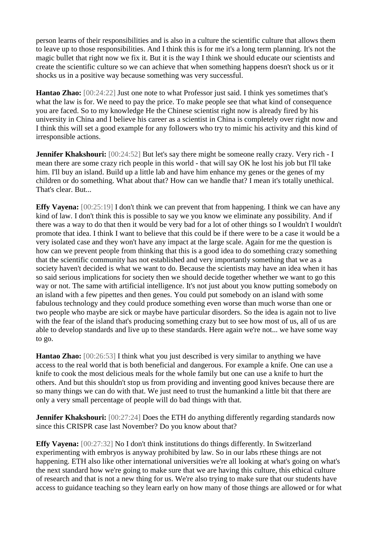person learns of their responsibilities and is also in a culture the scientific culture that allows them to leave up to those responsibilities. And I think this is for me it's a long term planning. It's not the magic bullet that right now we fix it. But it is the way I think we should educate our scientists and create the scientific culture so we can achieve that when something happens doesn't shock us or it shocks us in a positive way because something was very successful.

**Hantao Zhao:** [00:24:22] Just one note to what Professor just said. I think yes sometimes that's what the law is for. We need to pay the price. To make people see that what kind of consequence you are faced. So to my knowledge He the Chinese scientist right now is already fired by his university in China and I believe his career as a scientist in China is completely over right now and I think this will set a good example for any followers who try to mimic his activity and this kind of irresponsible actions.

**Jennifer Khakshouri:** [00:24:52] But let's say there might be someone really crazy. Very rich - I mean there are some crazy rich people in this world - that will say OK he lost his job but I'll take him. I'll buy an island. Build up a little lab and have him enhance my genes or the genes of my children or do something. What about that? How can we handle that? I mean it's totally unethical. That's clear. But...

**Effy Vayena:** [00:25:19] I don't think we can prevent that from happening. I think we can have any kind of law. I don't think this is possible to say we you know we eliminate any possibility. And if there was a way to do that then it would be very bad for a lot of other things so I wouldn't I wouldn't promote that idea. I think I want to believe that this could be if there were to be a case it would be a very isolated case and they won't have any impact at the large scale. Again for me the question is how can we prevent people from thinking that this is a good idea to do something crazy something that the scientific community has not established and very importantly something that we as a society haven't decided is what we want to do. Because the scientists may have an idea when it has so said serious implications for society then we should decide together whether we want to go this way or not. The same with artificial intelligence. It's not just about you know putting somebody on an island with a few pipettes and then genes. You could put somebody on an island with some fabulous technology and they could produce something even worse than much worse than one or two people who maybe are sick or maybe have particular disorders. So the idea is again not to live with the fear of the island that's producing something crazy but to see how most of us, all of us are able to develop standards and live up to these standards. Here again we're not... we have some way to go.

**Hantao Zhao:** [00:26:53] I think what you just described is very similar to anything we have access to the real world that is both beneficial and dangerous. For example a knife. One can use a knife to cook the most delicious meals for the whole family but one can use a knife to hurt the others. And but this shouldn't stop us from providing and inventing good knives because there are so many things we can do with that. We just need to trust the humankind a little bit that there are only a very small percentage of people will do bad things with that.

**Jennifer Khakshouri:** [00:27:24] Does the ETH do anything differently regarding standards now since this CRISPR case last November? Do you know about that?

**Effy Vayena:** [00:27:32] No I don't think institutions do things differently. In Switzerland experimenting with embryos is anyway prohibited by law. So in our labs rthese things are not happening. ETH also like other international universities we're all looking at what's going on what's the next standard how we're going to make sure that we are having this culture, this ethical culture of research and that is not a new thing for us. We're also trying to make sure that our students have access to guidance teaching so they learn early on how many of those things are allowed or for what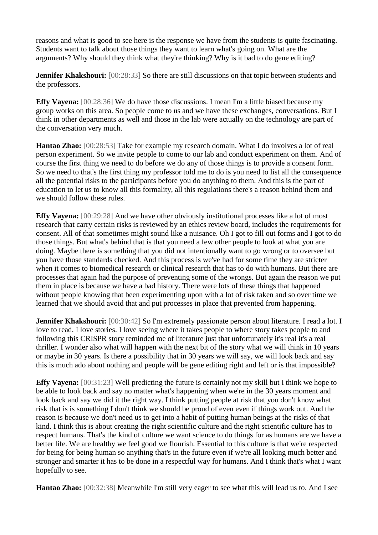reasons and what is good to see here is the response we have from the students is quite fascinating. Students want to talk about those things they want to learn what's going on. What are the arguments? Why should they think what they're thinking? Why is it bad to do gene editing?

**Jennifer Khakshouri:** [00:28:33] So there are still discussions on that topic between students and the professors.

**Effy Vayena:** [00:28:36] We do have those discussions. I mean I'm a little biased because my group works on this area. So people come to us and we have these exchanges, conversations. But I think in other departments as well and those in the lab were actually on the technology are part of the conversation very much.

**Hantao Zhao:** [00:28:53] Take for example my research domain. What I do involves a lot of real person experiment. So we invite people to come to our lab and conduct experiment on them. And of course the first thing we need to do before we do any of those things is to provide a consent form. So we need to that's the first thing my professor told me to do is you need to list all the consequence all the potential risks to the participants before you do anything to them. And this is the part of education to let us to know all this formality, all this regulations there's a reason behind them and we should follow these rules.

**Effy Vayena:** [00:29:28] And we have other obviously institutional processes like a lot of most research that carry certain risks is reviewed by an ethics review board, includes the requirements for consent. All of that sometimes might sound like a nuisance. Oh I got to fill out forms and I got to do those things. But what's behind that is that you need a few other people to look at what you are doing. Maybe there is something that you did not intentionally want to go wrong or to oversee but you have those standards checked. And this process is we've had for some time they are stricter when it comes to biomedical research or clinical research that has to do with humans. But there are processes that again had the purpose of preventing some of the wrongs. But again the reason we put them in place is because we have a bad history. There were lots of these things that happened without people knowing that been experimenting upon with a lot of risk taken and so over time we learned that we should avoid that and put processes in place that prevented from happening.

**Jennifer Khakshouri:** [00:30:42] So I'm extremely passionate person about literature. I read a lot. I love to read. I love stories. I love seeing where it takes people to where story takes people to and following this CRISPR story reminded me of literature just that unfortunately it's real it's a real thriller. I wonder also what will happen with the next bit of the story what we will think in 10 years or maybe in 30 years. Is there a possibility that in 30 years we will say, we will look back and say this is much ado about nothing and people will be gene editing right and left or is that impossible?

**Effy Vayena:** [00:31:23] Well predicting the future is certainly not my skill but I think we hope to be able to look back and say no matter what's happening when we're in the 30 years moment and look back and say we did it the right way. I think putting people at risk that you don't know what risk that is is something I don't think we should be proud of even even if things work out. And the reason is because we don't need us to get into a habit of putting human beings at the risks of that kind. I think this is about creating the right scientific culture and the right scientific culture has to respect humans. That's the kind of culture we want science to do things for as humans are we have a better life. We are healthy we feel good we flourish. Essential to this culture is that we're respected for being for being human so anything that's in the future even if we're all looking much better and stronger and smarter it has to be done in a respectful way for humans. And I think that's what I want hopefully to see.

**Hantao Zhao:** [00:32:38] Meanwhile I'm still very eager to see what this will lead us to. And I see